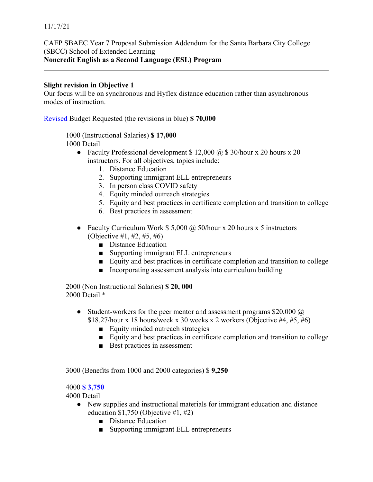CAEP SBAEC Year 7 Proposal Submission Addendum for the Santa Barbara City College (SBCC) School of Extended Learning **Noncredit English as a Second Language (ESL) Program**

## **Slight revision in Objective 1**

Our focus will be on synchronous and Hyflex distance education rather than asynchronous modes of instruction.

Revised Budget Requested (the revisions in blue) **\$ 70,000**

1000 (Instructional Salaries) **\$ 17,000** 1000 Detail

- Faculty Professional development  $$ 12,000 \ (\omega\)$  \$ 30/hour x 20 hours x 20 instructors. For all objectives, topics include:
	- 1. Distance Education
	- 2. Supporting immigrant ELL entrepreneurs
	- 3. In person class COVID safety
	- 4. Equity minded outreach strategies
	- 5. Equity and best practices in certificate completion and transition to college
	- 6. Best practices in assessment
- Faculty Curriculum Work  $$ 5,000$  @ 50/hour x 20 hours x 5 instructors (Objective #1, #2, #5, #6)
	- Distance Education
	- Supporting immigrant ELL entrepreneurs
	- Equity and best practices in certificate completion and transition to college
	- Incorporating assessment analysis into curriculum building

2000 (Non Instructional Salaries) **\$ 20, 000** 2000 Detail \*

- Student-workers for the peer mentor and assessment programs  $$20,000 \ (\hat{\omega})$  $$18.27/h$ our x 18 hours/week x 30 weeks x 2 workers (Objective #4, #5, #6)
	- Equity minded outreach strategies
	- Equity and best practices in certificate completion and transition to college
	- Best practices in assessment

3000 (Benefits from 1000 and 2000 categories) \$ **9,250**

## 4000 **\$ 3,750**

4000 Detail

- New supplies and instructional materials for immigrant education and distance education  $$1,750$  (Objective  $#1, #2$ )
	- Distance Education
	- Supporting immigrant ELL entrepreneurs